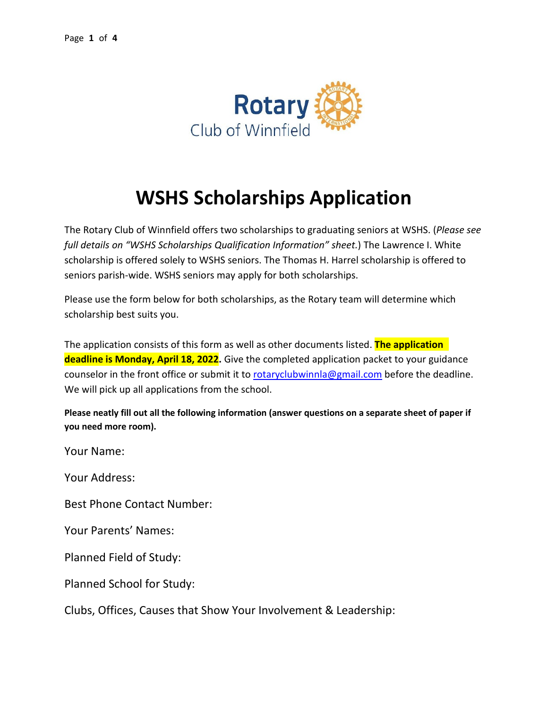

## **WSHS Scholarships Application**

The Rotary Club of Winnfield offers two scholarships to graduating seniors at WSHS. (*Please see full details on "WSHS Scholarships Qualification Information" sheet.*) The Lawrence I. White scholarship is offered solely to WSHS seniors. The Thomas H. Harrel scholarship is offered to seniors parish-wide. WSHS seniors may apply for both scholarships.

Please use the form below for both scholarships, as the Rotary team will determine which scholarship best suits you.

The application consists of this form as well as other documents listed. **The application deadline is Monday, April 18, 2022.** Give the completed application packet to your guidance counselor in the front office or submit it to [rotaryclubwinnla@gmail.com](mailto:rotaryclubwinnla@gmail.com) before the deadline. We will pick up all applications from the school.

**Please neatly fill out all the following information (answer questions on a separate sheet of paper if you need more room).** 

Your Name:

Your Address:

Best Phone Contact Number:

Your Parents' Names:

Planned Field of Study:

Planned School for Study:

Clubs, Offices, Causes that Show Your Involvement & Leadership: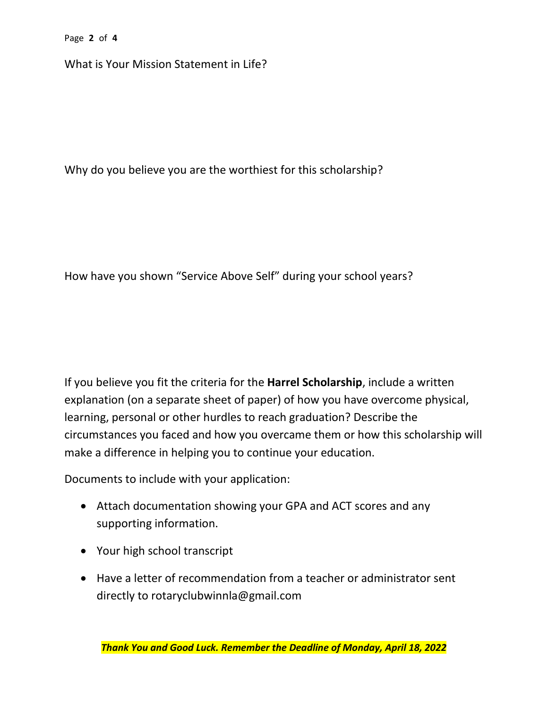Page **2** of **4**

What is Your Mission Statement in Life?

Why do you believe you are the worthiest for this scholarship?

How have you shown "Service Above Self" during your school years?

If you believe you fit the criteria for the **Harrel Scholarship**, include a written explanation (on a separate sheet of paper) of how you have overcome physical, learning, personal or other hurdles to reach graduation? Describe the circumstances you faced and how you overcame them or how this scholarship will make a difference in helping you to continue your education.

Documents to include with your application:

- Attach documentation showing your GPA and ACT scores and any supporting information.
- Your high school transcript
- Have a letter of recommendation from a teacher or administrator sent directly to rotaryclubwinnla@gmail.com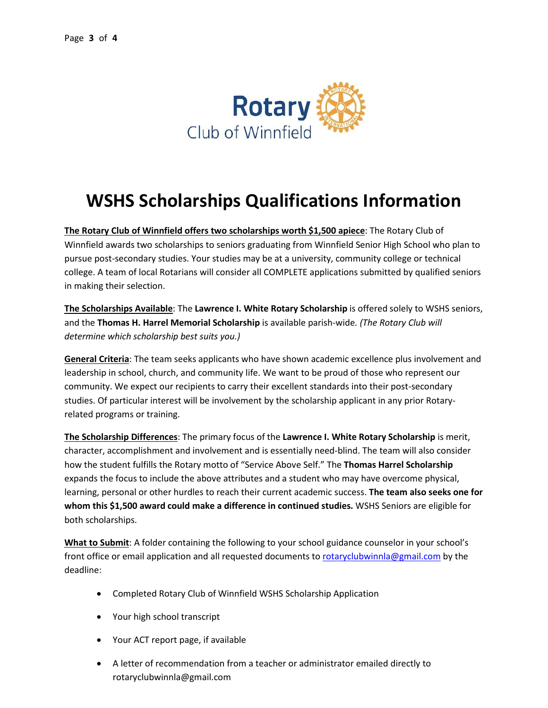

## **WSHS Scholarships Qualifications Information**

**The Rotary Club of Winnfield offers two scholarships worth \$1,500 apiece**: The Rotary Club of Winnfield awards two scholarships to seniors graduating from Winnfield Senior High School who plan to pursue post-secondary studies. Your studies may be at a university, community college or technical college. A team of local Rotarians will consider all COMPLETE applications submitted by qualified seniors in making their selection.

**The Scholarships Available**: The **Lawrence I. White Rotary Scholarship** is offered solely to WSHS seniors, and the **Thomas H. Harrel Memorial Scholarship** is available parish-wide*. (The Rotary Club will determine which scholarship best suits you.)*

**General Criteria**: The team seeks applicants who have shown academic excellence plus involvement and leadership in school, church, and community life. We want to be proud of those who represent our community. We expect our recipients to carry their excellent standards into their post-secondary studies. Of particular interest will be involvement by the scholarship applicant in any prior Rotaryrelated programs or training.

**The Scholarship Differences**: The primary focus of the **Lawrence I. White Rotary Scholarship** is merit, character, accomplishment and involvement and is essentially need-blind. The team will also consider how the student fulfills the Rotary motto of "Service Above Self." The **Thomas Harrel Scholarship** expands the focus to include the above attributes and a student who may have overcome physical, learning, personal or other hurdles to reach their current academic success. **The team also seeks one for whom this \$1,500 award could make a difference in continued studies.** WSHS Seniors are eligible for both scholarships.

**What to Submit**: A folder containing the following to your school guidance counselor in your school's front office or email application and all requested documents t[o rotaryclubwinnla@gmail.com](mailto:rotaryclubwinnla@gmail.com) by the deadline:

- Completed Rotary Club of Winnfield WSHS Scholarship Application
- Your high school transcript
- Your ACT report page, if available
- A letter of recommendation from a teacher or administrator emailed directly to rotaryclubwinnla@gmail.com